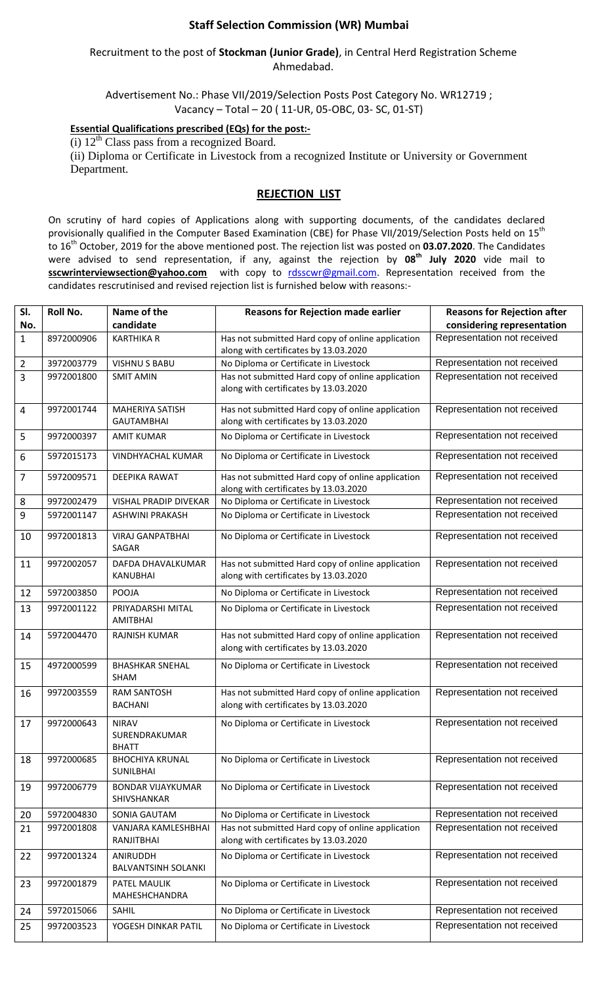## **Staff Selection Commission (WR) Mumbai**

### Recruitment to the post of **Stockman (Junior Grade)**, in Central Herd Registration Scheme Ahmedabad.

Advertisement No.: Phase VII/2019/Selection Posts Post Category No. WR12719 ; Vacancy – Total – 20 ( 11-UR, 05-OBC, 03- SC, 01-ST)

### **Essential Qualifications prescribed (EQs) for the post:-**

(i)  $12<sup>th</sup>$  Class pass from a recognized Board.

(ii) Diploma or Certificate in Livestock from a recognized Institute or University or Government Department.

### **REJECTION LIST**

On scrutiny of hard copies of Applications along with supporting documents, of the candidates declared provisionally qualified in the Computer Based Examination (CBE) for Phase VII/2019/Selection Posts held on 15<sup>th</sup> to 16th October, 2019 for the above mentioned post. The rejection list was posted on **03.07.2020**. The Candidates were advised to send representation, if any, against the rejection by **08 th July 2020** vide mail to **sscwrinterviewsection@yahoo.com** with copy to [rdsscwr@gmail.com.](mailto:rdsscwr@gmail.com) Representation received from the candidates rescrutinised and revised rejection list is furnished below with reasons:-

| SI.            | <b>Roll No.</b> | Name of the                                   | <b>Reasons for Rejection made earlier</b>                                                  | <b>Reasons for Rejection after</b> |
|----------------|-----------------|-----------------------------------------------|--------------------------------------------------------------------------------------------|------------------------------------|
| No.            |                 | candidate                                     |                                                                                            | considering representation         |
| $\mathbf{1}$   | 8972000906      | <b>KARTHIKA R</b>                             | Has not submitted Hard copy of online application<br>along with certificates by 13.03.2020 | Representation not received        |
| $\overline{2}$ | 3972003779      | <b>VISHNU S BABU</b>                          | No Diploma or Certificate in Livestock                                                     | Representation not received        |
| 3              | 9972001800      | <b>SMIT AMIN</b>                              | Has not submitted Hard copy of online application<br>along with certificates by 13.03.2020 | Representation not received        |
| 4              | 9972001744      | <b>MAHERIYA SATISH</b><br><b>GAUTAMBHAI</b>   | Has not submitted Hard copy of online application<br>along with certificates by 13.03.2020 | Representation not received        |
| 5              | 9972000397      | <b>AMIT KUMAR</b>                             | No Diploma or Certificate in Livestock                                                     | Representation not received        |
| 6              | 5972015173      | <b>VINDHYACHAL KUMAR</b>                      | No Diploma or Certificate in Livestock                                                     | Representation not received        |
| $\overline{7}$ | 5972009571      | <b>DEEPIKA RAWAT</b>                          | Has not submitted Hard copy of online application<br>along with certificates by 13.03.2020 | Representation not received        |
| 8              | 9972002479      | <b>VISHAL PRADIP DIVEKAR</b>                  | No Diploma or Certificate in Livestock                                                     | Representation not received        |
| 9              | 5972001147      | <b>ASHWINI PRAKASH</b>                        | No Diploma or Certificate in Livestock                                                     | Representation not received        |
| 10             | 9972001813      | <b>VIRAJ GANPATBHAI</b><br>SAGAR              | No Diploma or Certificate in Livestock                                                     | Representation not received        |
| 11             | 9972002057      | DAFDA DHAVALKUMAR<br><b>KANUBHAI</b>          | Has not submitted Hard copy of online application<br>along with certificates by 13.03.2020 | Representation not received        |
| 12             | 5972003850      | POOJA                                         | No Diploma or Certificate in Livestock                                                     | Representation not received        |
| 13             | 9972001122      | PRIYADARSHI MITAL<br><b>AMITBHAI</b>          | No Diploma or Certificate in Livestock                                                     | Representation not received        |
| 14             | 5972004470      | RAJNISH KUMAR                                 | Has not submitted Hard copy of online application<br>along with certificates by 13.03.2020 | Representation not received        |
| 15             | 4972000599      | <b>BHASHKAR SNEHAL</b><br><b>SHAM</b>         | No Diploma or Certificate in Livestock                                                     | Representation not received        |
| 16             | 9972003559      | <b>RAM SANTOSH</b><br><b>BACHANI</b>          | Has not submitted Hard copy of online application<br>along with certificates by 13.03.2020 | Representation not received        |
| 17             | 9972000643      | <b>NIRAV</b><br>SURENDRAKUMAR<br><b>BHATT</b> | No Diploma or Certificate in Livestock                                                     | Representation not received        |
| 18             | 9972000685      | <b>BHOCHIYA KRUNAL</b><br>SUNILBHAI           | No Diploma or Certificate in Livestock                                                     | Representation not received        |
| 19             | 9972006779      | <b>BONDAR VIJAYKUMAR</b><br>SHIVSHANKAR       | No Diploma or Certificate in Livestock                                                     | Representation not received        |
| 20             | 5972004830      | SONIA GAUTAM                                  | No Diploma or Certificate in Livestock                                                     | Representation not received        |
| 21             | 9972001808      | VANJARA KAMLESHBHAI                           | Has not submitted Hard copy of online application                                          | Representation not received        |
|                |                 | RANJITBHAI                                    | along with certificates by 13.03.2020                                                      |                                    |
| 22             | 9972001324      | ANIRUDDH<br><b>BALVANTSINH SOLANKI</b>        | No Diploma or Certificate in Livestock                                                     | Representation not received        |
| 23             | 9972001879      | PATEL MAULIK<br>MAHESHCHANDRA                 | No Diploma or Certificate in Livestock                                                     | Representation not received        |
| 24             | 5972015066      | SAHIL                                         | No Diploma or Certificate in Livestock                                                     | Representation not received        |
| 25             | 9972003523      | YOGESH DINKAR PATIL                           | No Diploma or Certificate in Livestock                                                     | Representation not received        |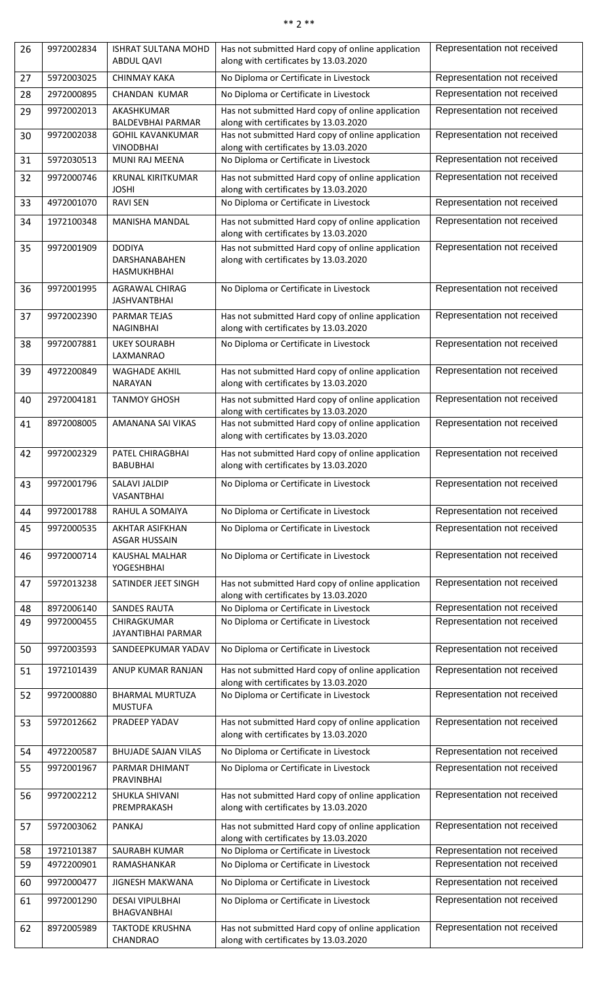| $**$ |  | ** |  |
|------|--|----|--|
|      |  |    |  |

| 26       | 9972002834               | ISHRAT SULTANA MOHD<br><b>ABDUL QAVI</b>             | Has not submitted Hard copy of online application<br>along with certificates by 13.03.2020                                          | Representation not received                                |
|----------|--------------------------|------------------------------------------------------|-------------------------------------------------------------------------------------------------------------------------------------|------------------------------------------------------------|
| 27       | 5972003025               | <b>CHINMAY KAKA</b>                                  | No Diploma or Certificate in Livestock                                                                                              | Representation not received                                |
| 28       | 2972000895               | CHANDAN KUMAR                                        | No Diploma or Certificate in Livestock                                                                                              | Representation not received                                |
| 29       | 9972002013               | AKASHKUMAR<br><b>BALDEVBHAI PARMAR</b>               | Has not submitted Hard copy of online application<br>along with certificates by 13.03.2020                                          | Representation not received                                |
| 30       | 9972002038               | <b>GOHIL KAVANKUMAR</b><br><b>VINODBHAI</b>          | Has not submitted Hard copy of online application<br>along with certificates by 13.03.2020                                          | Representation not received                                |
| 31       | 5972030513               | MUNI RAJ MEENA                                       | No Diploma or Certificate in Livestock                                                                                              | Representation not received                                |
| 32       | 9972000746               | KRUNAL KIRITKUMAR<br><b>JOSHI</b>                    | Has not submitted Hard copy of online application<br>along with certificates by 13.03.2020                                          | Representation not received                                |
| 33       | 4972001070               | <b>RAVI SEN</b>                                      | No Diploma or Certificate in Livestock                                                                                              | Representation not received                                |
| 34       | 1972100348               | MANISHA MANDAL                                       | Has not submitted Hard copy of online application<br>along with certificates by 13.03.2020                                          | Representation not received                                |
| 35       | 9972001909               | <b>DODIYA</b><br>DARSHANABAHEN<br><b>HASMUKHBHAI</b> | Has not submitted Hard copy of online application<br>along with certificates by 13.03.2020                                          | Representation not received                                |
| 36       | 9972001995               | AGRAWAL CHIRAG<br><b>JASHVANTBHAI</b>                | No Diploma or Certificate in Livestock                                                                                              | Representation not received                                |
| 37       | 9972002390               | <b>PARMAR TEJAS</b><br><b>NAGINBHAI</b>              | Has not submitted Hard copy of online application<br>along with certificates by 13.03.2020                                          | Representation not received                                |
| 38       | 9972007881               | <b>UKEY SOURABH</b><br>LAXMANRAO                     | No Diploma or Certificate in Livestock                                                                                              | Representation not received                                |
| 39       | 4972200849               | <b>WAGHADE AKHIL</b><br>NARAYAN                      | Has not submitted Hard copy of online application<br>along with certificates by 13.03.2020                                          | Representation not received                                |
| 40       | 2972004181               | <b>TANMOY GHOSH</b>                                  | Has not submitted Hard copy of online application                                                                                   | Representation not received                                |
| 41       | 8972008005               | AMANANA SAI VIKAS                                    | along with certificates by 13.03.2020<br>Has not submitted Hard copy of online application<br>along with certificates by 13.03.2020 | Representation not received                                |
| 42       | 9972002329               | PATEL CHIRAGBHAI<br><b>BABUBHAI</b>                  | Has not submitted Hard copy of online application<br>along with certificates by 13.03.2020                                          | Representation not received                                |
| 43       | 9972001796               | SALAVI JALDIP<br>VASANTBHAI                          | No Diploma or Certificate in Livestock                                                                                              | Representation not received                                |
| 44       | 9972001788               | RAHUL A SOMAIYA                                      | No Diploma or Certificate in Livestock                                                                                              | Representation not received                                |
| 45       | 9972000535               | AKHTAR ASIFKHAN<br><b>ASGAR HUSSAIN</b>              | No Diploma or Certificate in Livestock                                                                                              | Representation not received                                |
| 46       | 9972000714               | <b>KAUSHAL MALHAR</b><br>YOGESHBHAI                  | No Diploma or Certificate in Livestock                                                                                              | Representation not received                                |
| 47       | 5972013238               | SATINDER JEET SINGH                                  | Has not submitted Hard copy of online application<br>along with certificates by 13.03.2020                                          | Representation not received                                |
| 48       | 8972006140               | <b>SANDES RAUTA</b>                                  | No Diploma or Certificate in Livestock                                                                                              | Representation not received                                |
| 49       | 9972000455               | CHIRAGKUMAR<br>JAYANTIBHAI PARMAR                    | No Diploma or Certificate in Livestock                                                                                              | Representation not received                                |
| 50       | 9972003593               | SANDEEPKUMAR YADAV                                   | No Diploma or Certificate in Livestock                                                                                              | Representation not received                                |
| 51       | 1972101439               | ANUP KUMAR RANJAN                                    | Has not submitted Hard copy of online application<br>along with certificates by 13.03.2020                                          | Representation not received                                |
| 52       | 9972000880               | <b>BHARMAL MURTUZA</b><br><b>MUSTUFA</b>             | No Diploma or Certificate in Livestock                                                                                              | Representation not received                                |
| 53       | 5972012662               | PRADEEP YADAV                                        | Has not submitted Hard copy of online application<br>along with certificates by 13.03.2020                                          | Representation not received                                |
| 54       | 4972200587               | <b>BHUJADE SAJAN VILAS</b>                           | No Diploma or Certificate in Livestock                                                                                              | Representation not received                                |
| 55       | 9972001967               | PARMAR DHIMANT<br><b>PRAVINBHAI</b>                  | No Diploma or Certificate in Livestock                                                                                              | Representation not received                                |
| 56       | 9972002212               | SHUKLA SHIVANI<br>PREMPRAKASH                        | Has not submitted Hard copy of online application<br>along with certificates by 13.03.2020                                          | Representation not received                                |
| 57       | 5972003062               | <b>PANKAJ</b>                                        | Has not submitted Hard copy of online application<br>along with certificates by 13.03.2020                                          | Representation not received                                |
| 58       | 1972101387<br>4972200901 | SAURABH KUMAR                                        | No Diploma or Certificate in Livestock                                                                                              | Representation not received<br>Representation not received |
| 59       |                          | RAMASHANKAR                                          | No Diploma or Certificate in Livestock                                                                                              | Representation not received                                |
| 60<br>61 | 9972000477<br>9972001290 | <b>JIGNESH MAKWANA</b><br><b>DESAI VIPULBHAI</b>     | No Diploma or Certificate in Livestock<br>No Diploma or Certificate in Livestock                                                    | Representation not received                                |
|          |                          | BHAGVANBHAI                                          |                                                                                                                                     |                                                            |
| 62       | 8972005989               | <b>TAKTODE KRUSHNA</b><br>CHANDRAO                   | Has not submitted Hard copy of online application<br>along with certificates by 13.03.2020                                          | Representation not received                                |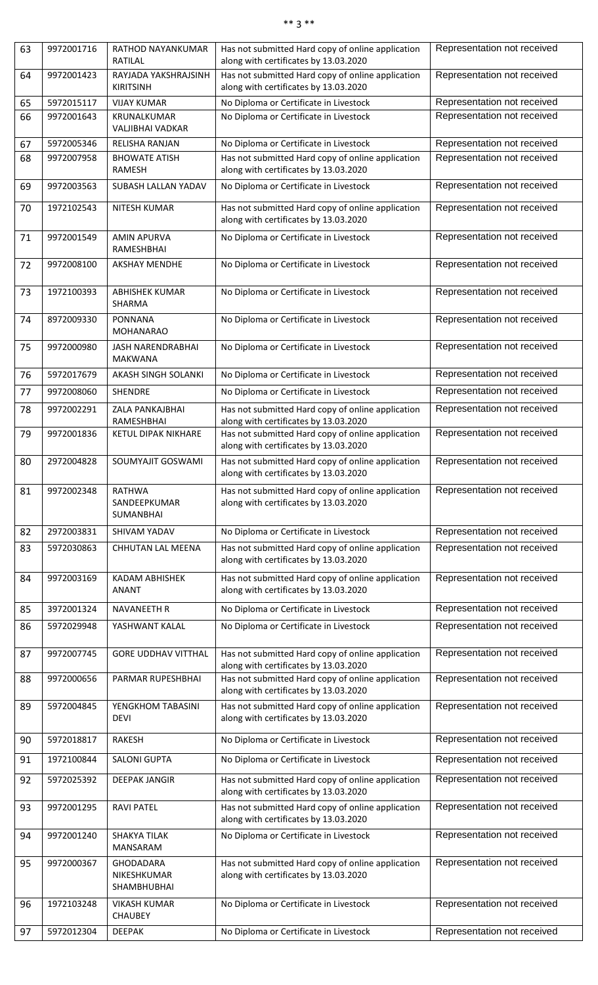| <b>SK 36</b> |  | $\ast\ast$ |  |
|--------------|--|------------|--|
|              |  |            |  |

| 63 | 9972001716 | <b>RATHOD NAYANKUMAR</b><br>RATILAL            | Has not submitted Hard copy of online application<br>along with certificates by 13.03.2020 | Representation not received |
|----|------------|------------------------------------------------|--------------------------------------------------------------------------------------------|-----------------------------|
| 64 | 9972001423 | RAYJADA YAKSHRAJSINH<br><b>KIRITSINH</b>       | Has not submitted Hard copy of online application<br>along with certificates by 13.03.2020 | Representation not received |
| 65 | 5972015117 | <b>VIJAY KUMAR</b>                             | No Diploma or Certificate in Livestock                                                     | Representation not received |
| 66 | 9972001643 | KRUNALKUMAR                                    | No Diploma or Certificate in Livestock                                                     | Representation not received |
|    |            | VALJIBHAI VADKAR                               |                                                                                            |                             |
| 67 | 5972005346 | RELISHA RANJAN                                 | No Diploma or Certificate in Livestock                                                     | Representation not received |
| 68 | 9972007958 | <b>BHOWATE ATISH</b><br>RAMESH                 | Has not submitted Hard copy of online application<br>along with certificates by 13.03.2020 | Representation not received |
| 69 | 9972003563 | SUBASH LALLAN YADAV                            | No Diploma or Certificate in Livestock                                                     | Representation not received |
| 70 | 1972102543 | NITESH KUMAR                                   | Has not submitted Hard copy of online application<br>along with certificates by 13.03.2020 | Representation not received |
| 71 | 9972001549 | <b>AMIN APURVA</b><br>RAMESHBHAI               | No Diploma or Certificate in Livestock                                                     | Representation not received |
| 72 | 9972008100 | <b>AKSHAY MENDHE</b>                           | No Diploma or Certificate in Livestock                                                     | Representation not received |
| 73 | 1972100393 | <b>ABHISHEK KUMAR</b><br>SHARMA                | No Diploma or Certificate in Livestock                                                     | Representation not received |
| 74 | 8972009330 | <b>PONNANA</b><br><b>MOHANARAO</b>             | No Diploma or Certificate in Livestock                                                     | Representation not received |
| 75 | 9972000980 | <b>JASH NARENDRABHAI</b><br><b>MAKWANA</b>     | No Diploma or Certificate in Livestock                                                     | Representation not received |
| 76 | 5972017679 | AKASH SINGH SOLANKI                            | No Diploma or Certificate in Livestock                                                     | Representation not received |
| 77 | 9972008060 | SHENDRE                                        | No Diploma or Certificate in Livestock                                                     | Representation not received |
| 78 | 9972002291 | ZALA PANKAJBHAI<br>RAMESHBHAI                  | Has not submitted Hard copy of online application<br>along with certificates by 13.03.2020 | Representation not received |
| 79 | 9972001836 | KETUL DIPAK NIKHARE                            | Has not submitted Hard copy of online application<br>along with certificates by 13.03.2020 | Representation not received |
| 80 | 2972004828 | SOUMYAJIT GOSWAMI                              | Has not submitted Hard copy of online application<br>along with certificates by 13.03.2020 | Representation not received |
| 81 | 9972002348 | <b>RATHWA</b><br>SANDEEPKUMAR<br>SUMANBHAI     | Has not submitted Hard copy of online application<br>along with certificates by 13.03.2020 | Representation not received |
| 82 | 2972003831 | SHIVAM YADAV                                   | No Diploma or Certificate in Livestock                                                     | Representation not received |
| 83 | 5972030863 | CHHUTAN LAL MEENA                              | Has not submitted Hard copy of online application<br>along with certificates by 13.03.2020 | Representation not received |
| 84 | 9972003169 | KADAM ABHISHEK<br>ANANT                        | Has not submitted Hard copy of online application<br>along with certificates by 13.03.2020 | Representation not received |
| 85 | 3972001324 | <b>NAVANEETH R</b>                             | No Diploma or Certificate in Livestock                                                     | Representation not received |
| 86 | 5972029948 | YASHWANT KALAL                                 | No Diploma or Certificate in Livestock                                                     | Representation not received |
| 87 | 9972007745 | <b>GORE UDDHAV VITTHAL</b>                     | Has not submitted Hard copy of online application<br>along with certificates by 13.03.2020 | Representation not received |
| 88 | 9972000656 | PARMAR RUPESHBHAI                              | Has not submitted Hard copy of online application<br>along with certificates by 13.03.2020 | Representation not received |
| 89 | 5972004845 | YENGKHOM TABASINI<br><b>DEVI</b>               | Has not submitted Hard copy of online application<br>along with certificates by 13.03.2020 | Representation not received |
| 90 | 5972018817 | <b>RAKESH</b>                                  | No Diploma or Certificate in Livestock                                                     | Representation not received |
| 91 | 1972100844 | <b>SALONI GUPTA</b>                            | No Diploma or Certificate in Livestock                                                     | Representation not received |
| 92 | 5972025392 | <b>DEEPAK JANGIR</b>                           | Has not submitted Hard copy of online application<br>along with certificates by 13.03.2020 | Representation not received |
| 93 | 9972001295 | <b>RAVI PATEL</b>                              | Has not submitted Hard copy of online application<br>along with certificates by 13.03.2020 | Representation not received |
| 94 | 9972001240 | <b>SHAKYA TILAK</b><br><b>MANSARAM</b>         | No Diploma or Certificate in Livestock                                                     | Representation not received |
| 95 | 9972000367 | <b>GHODADARA</b><br>NIKESHKUMAR<br>SHAMBHUBHAI | Has not submitted Hard copy of online application<br>along with certificates by 13.03.2020 | Representation not received |
| 96 | 1972103248 | <b>VIKASH KUMAR</b><br><b>CHAUBEY</b>          | No Diploma or Certificate in Livestock                                                     | Representation not received |
| 97 | 5972012304 | <b>DEEPAK</b>                                  | No Diploma or Certificate in Livestock                                                     | Representation not received |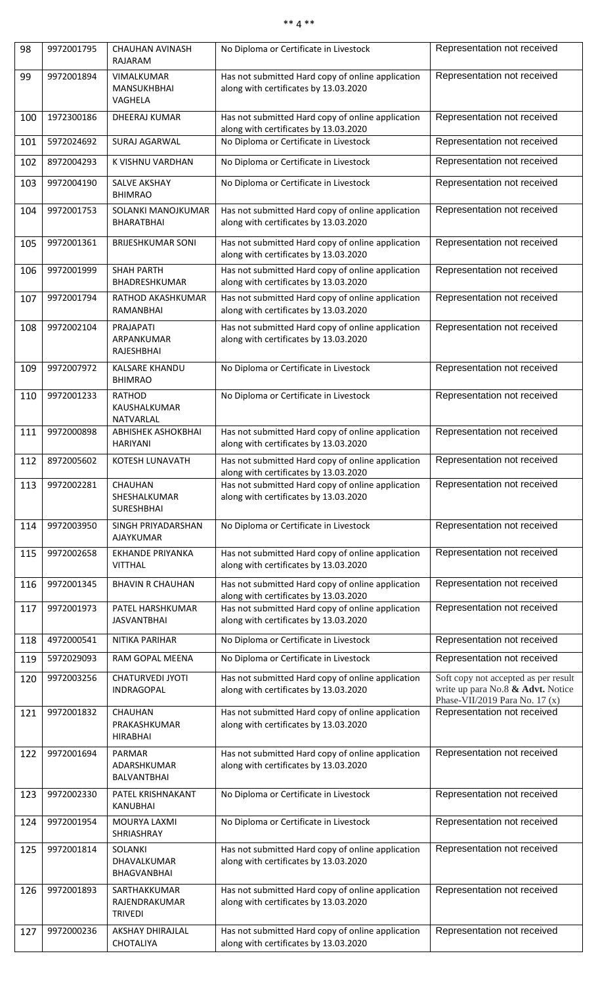## \*\* 4 \*\*

| 98  | 9972001795 | CHAUHAN AVINASH<br>RAJARAM                          | No Diploma or Certificate in Livestock                                                     | Representation not received                                                                                 |
|-----|------------|-----------------------------------------------------|--------------------------------------------------------------------------------------------|-------------------------------------------------------------------------------------------------------------|
| 99  | 9972001894 | VIMALKUMAR<br>MANSUKHBHAI<br>VAGHELA                | Has not submitted Hard copy of online application<br>along with certificates by 13.03.2020 | Representation not received                                                                                 |
| 100 | 1972300186 | DHEERAJ KUMAR                                       | Has not submitted Hard copy of online application<br>along with certificates by 13.03.2020 | Representation not received                                                                                 |
| 101 | 5972024692 | SURAJ AGARWAL                                       | No Diploma or Certificate in Livestock                                                     | Representation not received                                                                                 |
| 102 | 8972004293 | K VISHNU VARDHAN                                    | No Diploma or Certificate in Livestock                                                     | Representation not received                                                                                 |
| 103 | 9972004190 | SALVE AKSHAY<br><b>BHIMRAO</b>                      | No Diploma or Certificate in Livestock                                                     | Representation not received                                                                                 |
| 104 | 9972001753 | SOLANKI MANOJKUMAR<br><b>BHARATBHAI</b>             | Has not submitted Hard copy of online application<br>along with certificates by 13.03.2020 | Representation not received                                                                                 |
| 105 | 9972001361 | <b>BRIJESHKUMAR SONI</b>                            | Has not submitted Hard copy of online application<br>along with certificates by 13.03.2020 | Representation not received                                                                                 |
| 106 | 9972001999 | <b>SHAH PARTH</b><br>BHADRESHKUMAR                  | Has not submitted Hard copy of online application<br>along with certificates by 13.03.2020 | Representation not received                                                                                 |
| 107 | 9972001794 | RATHOD AKASHKUMAR<br>RAMANBHAI                      | Has not submitted Hard copy of online application<br>along with certificates by 13.03.2020 | Representation not received                                                                                 |
| 108 | 9972002104 | PRAJAPATI<br>ARPANKUMAR<br><b>RAJESHBHAI</b>        | Has not submitted Hard copy of online application<br>along with certificates by 13.03.2020 | Representation not received                                                                                 |
| 109 | 9972007972 | <b>KALSARE KHANDU</b><br><b>BHIMRAO</b>             | No Diploma or Certificate in Livestock                                                     | Representation not received                                                                                 |
| 110 | 9972001233 | <b>RATHOD</b><br>KAUSHALKUMAR<br>NATVARLAL          | No Diploma or Certificate in Livestock                                                     | Representation not received                                                                                 |
| 111 | 9972000898 | <b>ABHISHEK ASHOKBHAI</b><br><b>HARIYANI</b>        | Has not submitted Hard copy of online application<br>along with certificates by 13.03.2020 | Representation not received                                                                                 |
| 112 | 8972005602 | KOTESH LUNAVATH                                     | Has not submitted Hard copy of online application<br>along with certificates by 13.03.2020 | Representation not received                                                                                 |
| 113 | 9972002281 | CHAUHAN<br>SHESHALKUMAR<br><b>SURESHBHAI</b>        | Has not submitted Hard copy of online application<br>along with certificates by 13.03.2020 | Representation not received                                                                                 |
| 114 | 9972003950 | SINGH PRIYADARSHAN<br><b>AJAYKUMAR</b>              | No Diploma or Certificate in Livestock                                                     | Representation not received                                                                                 |
| 115 | 9972002658 | <b>EKHANDE PRIYANKA</b><br><b>VITTHAL</b>           | Has not submitted Hard copy of online application<br>along with certificates by 13.03.2020 | Representation not received                                                                                 |
| 116 | 9972001345 | <b>BHAVIN R CHAUHAN</b>                             | Has not submitted Hard copy of online application<br>along with certificates by 13.03.2020 | Representation not received                                                                                 |
| 117 | 9972001973 | PATEL HARSHKUMAR<br><b>JASVANTBHAI</b>              | Has not submitted Hard copy of online application<br>along with certificates by 13.03.2020 | Representation not received                                                                                 |
| 118 | 4972000541 | NITIKA PARIHAR                                      | No Diploma or Certificate in Livestock                                                     | Representation not received                                                                                 |
| 119 | 5972029093 | <b>RAM GOPAL MEENA</b>                              | No Diploma or Certificate in Livestock                                                     | Representation not received                                                                                 |
| 120 | 9972003256 | <b>CHATURVEDI JYOTI</b><br>INDRAGOPAL               | Has not submitted Hard copy of online application<br>along with certificates by 13.03.2020 | Soft copy not accepted as per result<br>write up para No.8 & Advt. Notice<br>Phase-VII/2019 Para No. 17 (x) |
| 121 | 9972001832 | <b>CHAUHAN</b><br>PRAKASHKUMAR<br><b>HIRABHAI</b>   | Has not submitted Hard copy of online application<br>along with certificates by 13.03.2020 | Representation not received                                                                                 |
| 122 | 9972001694 | <b>PARMAR</b><br>ADARSHKUMAR<br>BALVANTBHAI         | Has not submitted Hard copy of online application<br>along with certificates by 13.03.2020 | Representation not received                                                                                 |
| 123 | 9972002330 | PATEL KRISHNAKANT<br><b>KANUBHAI</b>                | No Diploma or Certificate in Livestock                                                     | Representation not received                                                                                 |
| 124 | 9972001954 | <b>MOURYA LAXMI</b><br>SHRIASHRAY                   | No Diploma or Certificate in Livestock                                                     | Representation not received                                                                                 |
| 125 | 9972001814 | <b>SOLANKI</b><br>DHAVALKUMAR<br><b>BHAGVANBHAI</b> | Has not submitted Hard copy of online application<br>along with certificates by 13.03.2020 | Representation not received                                                                                 |
| 126 | 9972001893 | SARTHAKKUMAR<br>RAJENDRAKUMAR<br><b>TRIVEDI</b>     | Has not submitted Hard copy of online application<br>along with certificates by 13.03.2020 | Representation not received                                                                                 |
| 127 | 9972000236 | AKSHAY DHIRAJLAL<br>CHOTALIYA                       | Has not submitted Hard copy of online application<br>along with certificates by 13.03.2020 | Representation not received                                                                                 |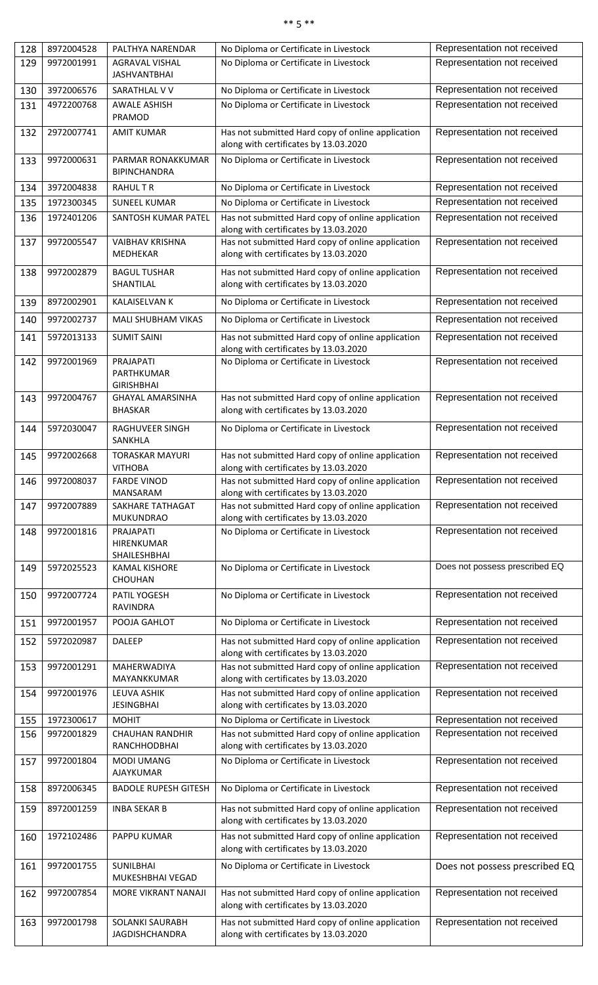# \*\* 5 \*\*

| 128 | 8972004528 | PALTHYA NARENDAR                                    | No Diploma or Certificate in Livestock                                                     | Representation not received    |
|-----|------------|-----------------------------------------------------|--------------------------------------------------------------------------------------------|--------------------------------|
| 129 | 9972001991 | <b>AGRAVAL VISHAL</b><br><b>JASHVANTBHAI</b>        | No Diploma or Certificate in Livestock                                                     | Representation not received    |
| 130 | 3972006576 | SARATHLAL V V                                       | No Diploma or Certificate in Livestock                                                     | Representation not received    |
| 131 | 4972200768 | <b>AWALE ASHISH</b><br>PRAMOD                       | No Diploma or Certificate in Livestock                                                     | Representation not received    |
| 132 | 2972007741 | <b>AMIT KUMAR</b>                                   | Has not submitted Hard copy of online application<br>along with certificates by 13.03.2020 | Representation not received    |
| 133 | 9972000631 | PARMAR RONAKKUMAR<br><b>BIPINCHANDRA</b>            | No Diploma or Certificate in Livestock                                                     | Representation not received    |
| 134 | 3972004838 | <b>RAHULTR</b>                                      | No Diploma or Certificate in Livestock                                                     | Representation not received    |
| 135 | 1972300345 | <b>SUNEEL KUMAR</b>                                 | No Diploma or Certificate in Livestock                                                     | Representation not received    |
| 136 | 1972401206 | SANTOSH KUMAR PATEL                                 | Has not submitted Hard copy of online application<br>along with certificates by 13.03.2020 | Representation not received    |
| 137 | 9972005547 | <b>VAIBHAV KRISHNA</b><br>MEDHEKAR                  | Has not submitted Hard copy of online application<br>along with certificates by 13.03.2020 | Representation not received    |
| 138 | 9972002879 | <b>BAGUL TUSHAR</b><br>SHANTILAL                    | Has not submitted Hard copy of online application<br>along with certificates by 13.03.2020 | Representation not received    |
| 139 | 8972002901 | <b>KALAISELVAN K</b>                                | No Diploma or Certificate in Livestock                                                     | Representation not received    |
| 140 | 9972002737 | <b>MALI SHUBHAM VIKAS</b>                           | No Diploma or Certificate in Livestock                                                     | Representation not received    |
| 141 | 5972013133 | <b>SUMIT SAINI</b>                                  | Has not submitted Hard copy of online application<br>along with certificates by 13.03.2020 | Representation not received    |
| 142 | 9972001969 | <b>PRAJAPATI</b><br>PARTHKUMAR<br><b>GIRISHBHAI</b> | No Diploma or Certificate in Livestock                                                     | Representation not received    |
| 143 | 9972004767 | <b>GHAYAL AMARSINHA</b><br><b>BHASKAR</b>           | Has not submitted Hard copy of online application<br>along with certificates by 13.03.2020 | Representation not received    |
| 144 | 5972030047 | RAGHUVEER SINGH<br>SANKHLA                          | No Diploma or Certificate in Livestock                                                     | Representation not received    |
| 145 | 9972002668 | <b>TORASKAR MAYURI</b><br><b>VITHOBA</b>            | Has not submitted Hard copy of online application<br>along with certificates by 13.03.2020 | Representation not received    |
| 146 | 9972008037 | <b>FARDE VINOD</b><br><b>MANSARAM</b>               | Has not submitted Hard copy of online application<br>along with certificates by 13.03.2020 | Representation not received    |
| 147 | 9972007889 | SAKHARE TATHAGAT<br><b>MUKUNDRAO</b>                | Has not submitted Hard copy of online application<br>along with certificates by 13.03.2020 | Representation not received    |
| 148 | 9972001816 | PRAJAPATI<br>HIRENKUMAR<br>SHAILESHBHAI             | No Diploma or Certificate in Livestock                                                     | Representation not received    |
| 149 | 5972025523 | <b>KAMAL KISHORE</b><br><b>CHOUHAN</b>              | No Diploma or Certificate in Livestock                                                     | Does not possess prescribed EQ |
| 150 | 9972007724 | PATIL YOGESH<br><b>RAVINDRA</b>                     | No Diploma or Certificate in Livestock                                                     | Representation not received    |
| 151 | 9972001957 | POOJA GAHLOT                                        | No Diploma or Certificate in Livestock                                                     | Representation not received    |
| 152 | 5972020987 | <b>DALEEP</b>                                       | Has not submitted Hard copy of online application<br>along with certificates by 13.03.2020 | Representation not received    |
| 153 | 9972001291 | <b>MAHERWADIYA</b><br>MAYANKKUMAR                   | Has not submitted Hard copy of online application<br>along with certificates by 13.03.2020 | Representation not received    |
| 154 | 9972001976 | LEUVA ASHIK<br><b>JESINGBHAI</b>                    | Has not submitted Hard copy of online application<br>along with certificates by 13.03.2020 | Representation not received    |
| 155 | 1972300617 | <b>MOHIT</b>                                        | No Diploma or Certificate in Livestock                                                     | Representation not received    |
| 156 | 9972001829 | <b>CHAUHAN RANDHIR</b><br>RANCHHODBHAI              | Has not submitted Hard copy of online application<br>along with certificates by 13.03.2020 | Representation not received    |
| 157 | 9972001804 | <b>MODI UMANG</b><br><b>AJAYKUMAR</b>               | No Diploma or Certificate in Livestock                                                     | Representation not received    |
| 158 | 8972006345 | <b>BADOLE RUPESH GITESH</b>                         | No Diploma or Certificate in Livestock                                                     | Representation not received    |
| 159 | 8972001259 | <b>INBA SEKAR B</b>                                 | Has not submitted Hard copy of online application<br>along with certificates by 13.03.2020 | Representation not received    |
| 160 | 1972102486 | PAPPU KUMAR                                         | Has not submitted Hard copy of online application<br>along with certificates by 13.03.2020 | Representation not received    |
| 161 | 9972001755 | <b>SUNILBHAI</b><br>MUKESHBHAI VEGAD                | No Diploma or Certificate in Livestock                                                     | Does not possess prescribed EQ |
| 162 | 9972007854 | MORE VIKRANT NANAJI                                 | Has not submitted Hard copy of online application<br>along with certificates by 13.03.2020 | Representation not received    |
| 163 | 9972001798 | SOLANKI SAURABH<br><b>JAGDISHCHANDRA</b>            | Has not submitted Hard copy of online application<br>along with certificates by 13.03.2020 | Representation not received    |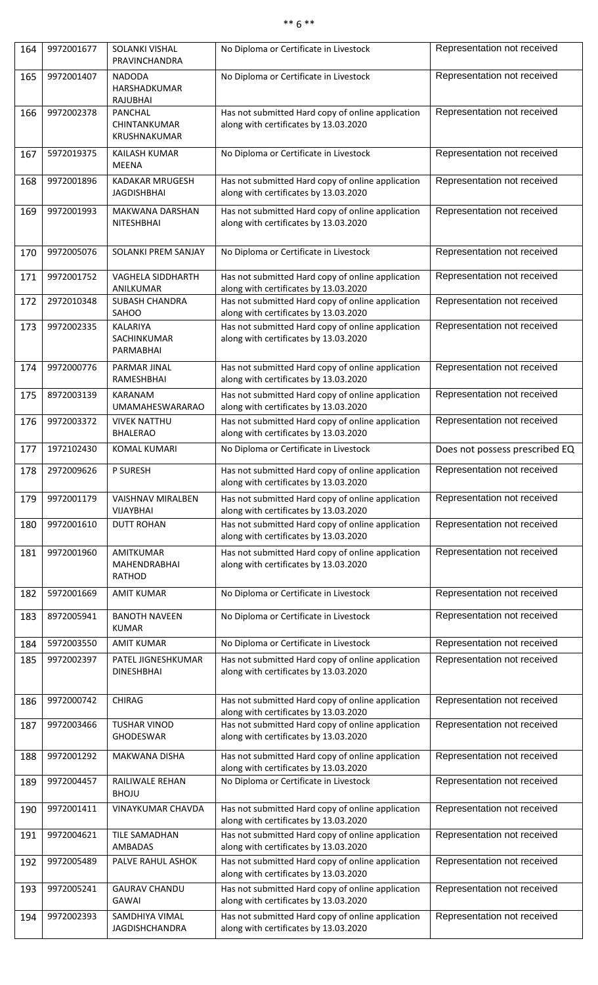# \*\* 6 \*\*

| 164 | 9972001677 | SOLANKI VISHAL<br>PRAVINCHANDRA              | No Diploma or Certificate in Livestock                                                                                              | Representation not received    |
|-----|------------|----------------------------------------------|-------------------------------------------------------------------------------------------------------------------------------------|--------------------------------|
| 165 | 9972001407 | <b>NADODA</b><br>HARSHADKUMAR<br>RAJUBHAI    | No Diploma or Certificate in Livestock                                                                                              | Representation not received    |
| 166 | 9972002378 | PANCHAL<br>CHINTANKUMAR<br>KRUSHNAKUMAR      | Has not submitted Hard copy of online application<br>along with certificates by 13.03.2020                                          | Representation not received    |
| 167 | 5972019375 | <b>KAILASH KUMAR</b><br><b>MEENA</b>         | No Diploma or Certificate in Livestock                                                                                              | Representation not received    |
| 168 | 9972001896 | KADAKAR MRUGESH<br><b>JAGDISHBHAI</b>        | Has not submitted Hard copy of online application<br>along with certificates by 13.03.2020                                          | Representation not received    |
| 169 | 9972001993 | MAKWANA DARSHAN<br>NITESHBHAI                | Has not submitted Hard copy of online application<br>along with certificates by 13.03.2020                                          | Representation not received    |
| 170 | 9972005076 | SOLANKI PREM SANJAY                          | No Diploma or Certificate in Livestock                                                                                              | Representation not received    |
| 171 | 9972001752 | <b>VAGHELA SIDDHARTH</b>                     | Has not submitted Hard copy of online application                                                                                   | Representation not received    |
| 172 | 2972010348 | ANILKUMAR<br><b>SUBASH CHANDRA</b><br>SAHOO  | along with certificates by 13.03.2020<br>Has not submitted Hard copy of online application<br>along with certificates by 13.03.2020 | Representation not received    |
| 173 | 9972002335 | KALARIYA<br>SACHINKUMAR<br>PARMABHAI         | Has not submitted Hard copy of online application<br>along with certificates by 13.03.2020                                          | Representation not received    |
| 174 | 9972000776 | PARMAR JINAL<br>RAMESHBHAI                   | Has not submitted Hard copy of online application<br>along with certificates by 13.03.2020                                          | Representation not received    |
| 175 | 8972003139 | <b>KARANAM</b><br><b>UMAMAHESWARARAO</b>     | Has not submitted Hard copy of online application<br>along with certificates by 13.03.2020                                          | Representation not received    |
| 176 | 9972003372 | <b>VIVEK NATTHU</b><br><b>BHALERAO</b>       | Has not submitted Hard copy of online application<br>along with certificates by 13.03.2020                                          | Representation not received    |
| 177 | 1972102430 | <b>KOMAL KUMARI</b>                          | No Diploma or Certificate in Livestock                                                                                              | Does not possess prescribed EQ |
| 178 | 2972009626 | P SURESH                                     | Has not submitted Hard copy of online application<br>along with certificates by 13.03.2020                                          | Representation not received    |
| 179 | 9972001179 | <b>VAISHNAV MIRALBEN</b><br><b>VIJAYBHAI</b> | Has not submitted Hard copy of online application<br>along with certificates by 13.03.2020                                          | Representation not received    |
| 180 | 9972001610 | <b>DUTT ROHAN</b>                            | Has not submitted Hard copy of online application<br>along with certificates by 13.03.2020                                          | Representation not received    |
| 181 | 9972001960 | AMITKUMAR<br>MAHENDRABHAI<br>RATHOD          | Has not submitted Hard copy of online application<br>along with certificates by 13.03.2020                                          | Representation not received    |
| 182 | 5972001669 | <b>AMIT KUMAR</b>                            | No Diploma or Certificate in Livestock                                                                                              | Representation not received    |
| 183 | 8972005941 | <b>BANOTH NAVEEN</b><br><b>KUMAR</b>         | No Diploma or Certificate in Livestock                                                                                              | Representation not received    |
| 184 | 5972003550 | <b>AMIT KUMAR</b>                            | No Diploma or Certificate in Livestock                                                                                              | Representation not received    |
| 185 | 9972002397 | PATEL JIGNESHKUMAR<br><b>DINESHBHAI</b>      | Has not submitted Hard copy of online application<br>along with certificates by 13.03.2020                                          | Representation not received    |
| 186 | 9972000742 | <b>CHIRAG</b>                                | Has not submitted Hard copy of online application<br>along with certificates by 13.03.2020                                          | Representation not received    |
| 187 | 9972003466 | <b>TUSHAR VINOD</b><br><b>GHODESWAR</b>      | Has not submitted Hard copy of online application<br>along with certificates by 13.03.2020                                          | Representation not received    |
| 188 | 9972001292 | <b>MAKWANA DISHA</b>                         | Has not submitted Hard copy of online application<br>along with certificates by 13.03.2020                                          | Representation not received    |
| 189 | 9972004457 | RAILIWALE REHAN<br><b>BHOJU</b>              | No Diploma or Certificate in Livestock                                                                                              | Representation not received    |
| 190 | 9972001411 | <b>VINAYKUMAR CHAVDA</b>                     | Has not submitted Hard copy of online application<br>along with certificates by 13.03.2020                                          | Representation not received    |
| 191 | 9972004621 | <b>TILE SAMADHAN</b><br><b>AMBADAS</b>       | Has not submitted Hard copy of online application<br>along with certificates by 13.03.2020                                          | Representation not received    |
| 192 | 9972005489 | PALVE RAHUL ASHOK                            | Has not submitted Hard copy of online application<br>along with certificates by 13.03.2020                                          | Representation not received    |
| 193 | 9972005241 | <b>GAURAV CHANDU</b><br><b>GAWAI</b>         | Has not submitted Hard copy of online application<br>along with certificates by 13.03.2020                                          | Representation not received    |
| 194 | 9972002393 | SAMDHIYA VIMAL<br><b>JAGDISHCHANDRA</b>      | Has not submitted Hard copy of online application<br>along with certificates by 13.03.2020                                          | Representation not received    |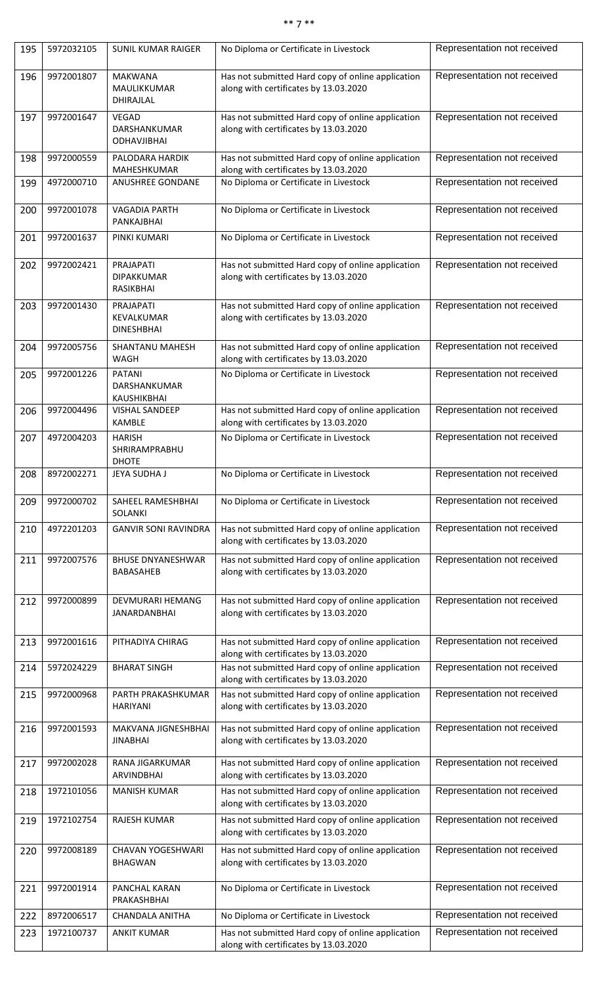#### \*\* 7 \*\*

| 195 | 5972032105 | <b>SUNIL KUMAR RAIGER</b>                          | No Diploma or Certificate in Livestock                                                     | Representation not received |
|-----|------------|----------------------------------------------------|--------------------------------------------------------------------------------------------|-----------------------------|
| 196 | 9972001807 | <b>MAKWANA</b><br>MAULIKKUMAR<br>DHIRAJLAL         | Has not submitted Hard copy of online application<br>along with certificates by 13.03.2020 | Representation not received |
| 197 | 9972001647 | <b>VEGAD</b><br>DARSHANKUMAR<br><b>ODHAVJIBHAI</b> | Has not submitted Hard copy of online application<br>along with certificates by 13.03.2020 | Representation not received |
| 198 | 9972000559 | PALODARA HARDIK<br>MAHESHKUMAR                     | Has not submitted Hard copy of online application<br>along with certificates by 13.03.2020 | Representation not received |
| 199 | 4972000710 | ANUSHREE GONDANE                                   | No Diploma or Certificate in Livestock                                                     | Representation not received |
| 200 | 9972001078 | <b>VAGADIA PARTH</b><br>PANKAJBHAI                 | No Diploma or Certificate in Livestock                                                     | Representation not received |
| 201 | 9972001637 | PINKI KUMARI                                       | No Diploma or Certificate in Livestock                                                     | Representation not received |
| 202 | 9972002421 | PRAJAPATI<br><b>DIPAKKUMAR</b><br><b>RASIKBHAI</b> | Has not submitted Hard copy of online application<br>along with certificates by 13.03.2020 | Representation not received |
| 203 | 9972001430 | PRAJAPATI<br>KEVALKUMAR<br><b>DINESHBHAI</b>       | Has not submitted Hard copy of online application<br>along with certificates by 13.03.2020 | Representation not received |
| 204 | 9972005756 | SHANTANU MAHESH<br>WAGH                            | Has not submitted Hard copy of online application<br>along with certificates by 13.03.2020 | Representation not received |
| 205 | 9972001226 | <b>PATANI</b><br>DARSHANKUMAR<br>KAUSHIKBHAI       | No Diploma or Certificate in Livestock                                                     | Representation not received |
| 206 | 9972004496 | <b>VISHAL SANDEEP</b><br><b>KAMBLE</b>             | Has not submitted Hard copy of online application<br>along with certificates by 13.03.2020 | Representation not received |
| 207 | 4972004203 | <b>HARISH</b><br>SHRIRAMPRABHU<br><b>DHOTE</b>     | No Diploma or Certificate in Livestock                                                     | Representation not received |
| 208 | 8972002271 | JEYA SUDHA J                                       | No Diploma or Certificate in Livestock                                                     | Representation not received |
| 209 | 9972000702 | SAHEEL RAMESHBHAI<br><b>SOLANKI</b>                | No Diploma or Certificate in Livestock                                                     | Representation not received |
| 210 | 4972201203 | <b>GANVIR SONI RAVINDRA</b>                        | Has not submitted Hard copy of online application<br>along with certificates by 13.03.2020 | Representation not received |
| 211 | 9972007576 | <b>BHUSE DNYANESHWAR</b><br><b>BABASAHEB</b>       | Has not submitted Hard copy of online application<br>along with certificates by 13.03.2020 | Representation not received |
| 212 | 9972000899 | DEVMURARI HEMANG<br>JANARDANBHAI                   | Has not submitted Hard copy of online application<br>along with certificates by 13.03.2020 | Representation not received |
| 213 | 9972001616 | PITHADIYA CHIRAG                                   | Has not submitted Hard copy of online application<br>along with certificates by 13.03.2020 | Representation not received |
| 214 | 5972024229 | <b>BHARAT SINGH</b>                                | Has not submitted Hard copy of online application<br>along with certificates by 13.03.2020 | Representation not received |
| 215 | 9972000968 | PARTH PRAKASHKUMAR<br><b>HARIYANI</b>              | Has not submitted Hard copy of online application<br>along with certificates by 13.03.2020 | Representation not received |
| 216 | 9972001593 | <b>MAKVANA JIGNESHBHAI</b><br><b>JINABHAI</b>      | Has not submitted Hard copy of online application<br>along with certificates by 13.03.2020 | Representation not received |
| 217 | 9972002028 | <b>RANA JIGARKUMAR</b><br>ARVINDBHAI               | Has not submitted Hard copy of online application<br>along with certificates by 13.03.2020 | Representation not received |
| 218 | 1972101056 | <b>MANISH KUMAR</b>                                | Has not submitted Hard copy of online application<br>along with certificates by 13.03.2020 | Representation not received |
| 219 | 1972102754 | <b>RAJESH KUMAR</b>                                | Has not submitted Hard copy of online application<br>along with certificates by 13.03.2020 | Representation not received |
| 220 | 9972008189 | <b>CHAVAN YOGESHWARI</b><br><b>BHAGWAN</b>         | Has not submitted Hard copy of online application<br>along with certificates by 13.03.2020 | Representation not received |
| 221 | 9972001914 | PANCHAL KARAN<br>PRAKASHBHAI                       | No Diploma or Certificate in Livestock                                                     | Representation not received |
| 222 | 8972006517 | CHANDALA ANITHA                                    | No Diploma or Certificate in Livestock                                                     | Representation not received |
| 223 | 1972100737 | <b>ANKIT KUMAR</b>                                 | Has not submitted Hard copy of online application<br>along with certificates by 13.03.2020 | Representation not received |